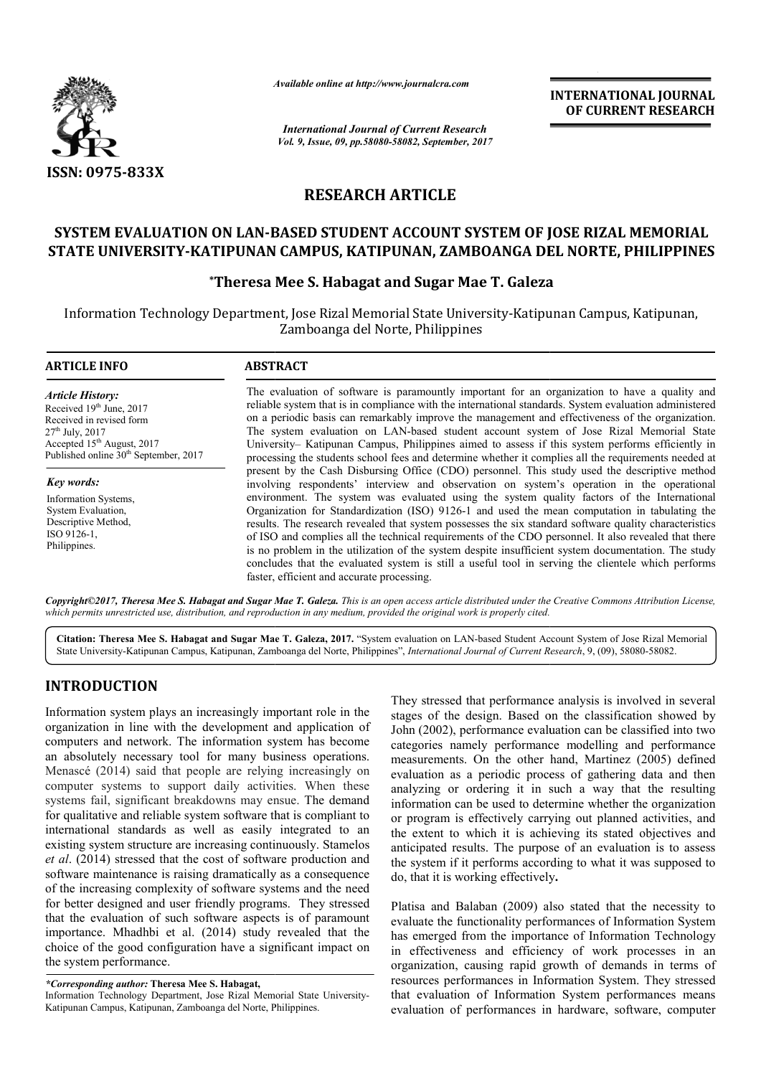

*Available online at http://www.journal http://www.journalcra.com*

*International Journal of Current Research Vol. 9, Issue, 09, pp.58080-58082, September, 2017* **INTERNATIONAL JOURNAL OF CURRENT RESEARCH** 

## **RESEARCH ARTICLE**

## **SYSTEM EVALUATION ON LAN-BASED STUDENT ACCOUNT SYSTEM OF BASED JOSE RIZAL MEMORIAL STATE UNIVERSITY-KATIPUNAN CAMPUS, KATIPUNAN, ZAMBOANGA DEL NORTE, PHILIPPINES**

# **\*Theresa Mee S. KATIPUNAN Theresa Habagat and Sugar Mae T. Galeza**

Information Technology Department, Jose Rizal Memorial State University University-Katipunan Campus, Katipunan, Katipunan Campus, Katipunan, Zamboanga del Norte, Philippines

#### **ARTICLE INFO ABSTRACT** The evaluation of software is paramountly important for an organization to have a quality and The evaluation of software is paramountly important for an organization to have a quality and reliable system that is in compliance with the international standards. System evaluation administered on a periodic basis can remarkably improve the management and effectiveness of the organization. The system evaluation on LAN-based student account system of Jose Rizal Memorial State University University– Katipunan Campus, Philippines aimed to assess if this system performs efficiently in processing the students school fees and determine whether it complies all the requirements needed at present by the Cash Disbursing Office (CDO) personnel. This study used the descriptive method involving respondents' interview and observation on system's operation environment. The system was evaluated using the system quality factors of the International *Article History:* Received 19<sup>th</sup> June, 2017 Received in revised form  $27<sup>th</sup>$  July,  $2017$ Accepted 15<sup>th</sup> August, 2017 Published online  $30<sup>th</sup>$  September, 2017 *Key words:* Information Systems, on LAN-based student account system of Jose Rizal Memorial State ampus, Philippines aimed to assess if this system performs efficiently in hool fees and determine whether it complies all the requirements needed at oursing

System Evaluation, Descriptive Method, ISO 9126-1, Philippines.

Organization for Standardization (ISO) 9126 9126-1 and used the mean computation in tabulating the results. The research revealed that system possesses the six standard software quality characteristics of ISO and complies all the technical requirements of the CDO personnel. It also revealed that there is no problem in the utilization of the system despite insufficient system documentation. The study concludes that the evaluated system is still a useful tool in serving the clientele which performs faster, efficient and accurate processing. vironment. The system was evaluated using the system quality factors of the International ganization for Standardization (ISO) 9126-1 and used the mean computation in tabulating the sults. The research revealed that system

Copyright©2017, Theresa Mee S. Habagat and Sugar Mae T. Galeza. This is an open access article distributed under the Creative Commons Attribution License, which permits unrestricted use, distribution, and reproduction in any medium, provided the original work is properly cited.

Citation: Theresa Mee S. Habagat and Sugar Mae T. Galeza, 2017. "System evaluation on LAN-based Student Account System of Jose Rizal Memorial State University-Katipunan Campus, Katipunan, Zamboanga del Norte, Philippines", *International Journal of Current Research*, 9, (09), 58080-58082.

## **INTRODUCTION**

Information system plays an increasingly important role in the organization in line with the development and application of computers and network. The information system has become an absolutely necessary tool for many business operations. Menascé (2014) said that people are relying increasingly on computer systems to support daily activities. When these systems fail, significant breakdowns may ensue. The demand for qualitative and reliable system software that is compliant to international standards as well as easily integrated to an existing system structure are increasing continuously. Stamelos *et al*. (2014) stressed that the cost of software production and software maintenance is raising dramatically as a consequence of the increasing complexity of software systems and the need for better designed and user friendly programs. They stressed that the evaluation of such software aspects is of paramount importance. Mhadhbi et al. (2014) study revealed that the choice of the good configuration have a signific the system performance. Il as easily integrated to an<br>preasing continuously. Stamelos<br>cost of software production and<br>c dramatically as a consequence<br>software systems and the need<br>endly programs. They stressed<br>ftware aspects is of paramount<br>2014)

Information Technology Department, Jose Rizal Memorial State University University-Katipunan Campus, Katipunan, Zamboanga del Norte, Philippines Philippines.

They stressed that performance analysis is involved in several stages of the design. Based on the classification showed by John (2002), performance evaluation can be classified into two categories namely performance modelling and performance measurements. On the other hand, Martinez (2005) defined evaluation as a periodic process of gathering data and then analyzing or ordering it in such a way that the resulting information can be used to determine whether the organization or program is effectively carrying out planned activ the extent to which it is achieving its stated objectives and anticipated results. The purpose of an evaluation is to assess the system if it performs according to what it was supposed to do, that it is working effectively sed that performance analysis is involved in several<br>the design. Based on the classification showed by<br>2), performance evaluation can be classified into two<br>namely performance modelling and performance<br>ents. On the other h is a periodic process of gathering data and then<br>r ordering it in such a way that the resulting<br>can be used to determine whether the organization<br>is effectively carrying out planned activities, and extent to which it is achieving its stated objectives a cipated results. The purpose of an evaluation is to asse system if it performs according to what it was supposed that it is working effectively. **EXERCATIONAL FOUNDAL FOUNDAL FOUNDAL CONFIGURATE (SEE ARCHE TRESSEARCHE TRESSEARCHE TRESSEARCHE TRESSEARCHE TRESSEARCHE TRESSEARCHE TRESSEARCHE TRESSEARCHE TRESSEARCHE TRESSEARCHE TRESSEARCHE TRESSEARCHE TRESSEARCHE TRES** 

Platisa and Balaban (2009) also stated that the necessity to evaluate the functionality performances of Information System has emerged from the importance of Information Technology in effectiveness and efficiency of work processes in an organization, causing rapid growth of d resources performances in Information System. They stressed that evaluation of Information System performances means evaluation of performances in hardware, software, computer alaban (2009) also stated that the necessity to<br>inctionality performances of Information System<br>from the importance of Information Technology<br>sss and efficiency of work processes in an<br>causing rapid growth of demands in te

*<sup>\*</sup>Corresponding author:* **Theresa Mee S. Habagat,**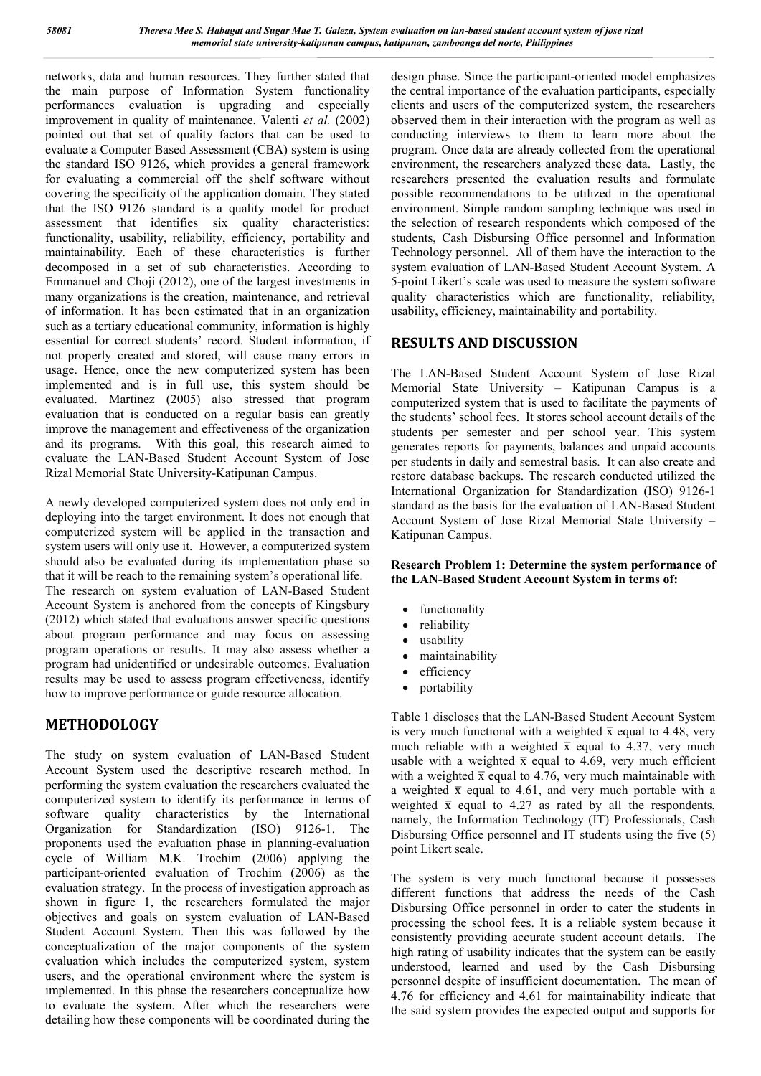networks, data and human resources. They further stated that the main purpose of Information System functionality performances evaluation is upgrading and especially improvement in quality of maintenance. Valenti *et al.* (2002) pointed out that set of quality factors that can be used to evaluate a Computer Based Assessment (CBA) system is using the standard ISO 9126, which provides a general framework for evaluating a commercial off the shelf software without covering the specificity of the application domain. They stated that the ISO 9126 standard is a quality model for product assessment that identifies six quality characteristics: functionality, usability, reliability, efficiency, portability and maintainability. Each of these characteristics is further decomposed in a set of sub characteristics. According to Emmanuel and Choji (2012), one of the largest investments in many organizations is the creation, maintenance, and retrieval of information. It has been estimated that in an organization such as a tertiary educational community, information is highly essential for correct students' record. Student information, if not properly created and stored, will cause many errors in usage. Hence, once the new computerized system has been implemented and is in full use, this system should be evaluated. Martinez (2005) also stressed that program evaluation that is conducted on a regular basis can greatly improve the management and effectiveness of the organization and its programs. With this goal, this research aimed to evaluate the LAN-Based Student Account System of Jose Rizal Memorial State University-Katipunan Campus.

A newly developed computerized system does not only end in deploying into the target environment. It does not enough that computerized system will be applied in the transaction and system users will only use it. However, a computerized system should also be evaluated during its implementation phase so that it will be reach to the remaining system's operational life. The research on system evaluation of LAN-Based Student Account System is anchored from the concepts of Kingsbury (2012) which stated that evaluations answer specific questions about program performance and may focus on assessing program operations or results. It may also assess whether a program had unidentified or undesirable outcomes. Evaluation results may be used to assess program effectiveness, identify how to improve performance or guide resource allocation.

## **METHODOLOGY**

The study on system evaluation of LAN-Based Student Account System used the descriptive research method. In performing the system evaluation the researchers evaluated the computerized system to identify its performance in terms of software quality characteristics by the International Organization for Standardization (ISO) 9126-1. The proponents used the evaluation phase in planning-evaluation cycle of William M.K. Trochim (2006) applying the participant-oriented evaluation of Trochim (2006) as the evaluation strategy. In the process of investigation approach as shown in figure 1, the researchers formulated the major objectives and goals on system evaluation of LAN-Based Student Account System. Then this was followed by the conceptualization of the major components of the system evaluation which includes the computerized system, system users, and the operational environment where the system is implemented. In this phase the researchers conceptualize how to evaluate the system. After which the researchers were detailing how these components will be coordinated during the

design phase. Since the participant-oriented model emphasizes the central importance of the evaluation participants, especially clients and users of the computerized system, the researchers observed them in their interaction with the program as well as conducting interviews to them to learn more about the program. Once data are already collected from the operational environment, the researchers analyzed these data. Lastly, the researchers presented the evaluation results and formulate possible recommendations to be utilized in the operational environment. Simple random sampling technique was used in the selection of research respondents which composed of the students, Cash Disbursing Office personnel and Information Technology personnel. All of them have the interaction to the system evaluation of LAN-Based Student Account System. A 5-point Likert's scale was used to measure the system software quality characteristics which are functionality, reliability, usability, efficiency, maintainability and portability.

## **RESULTS AND DISCUSSION**

The LAN-Based Student Account System of Jose Rizal Memorial State University – Katipunan Campus is a computerized system that is used to facilitate the payments of the students' school fees. It stores school account details of the students per semester and per school year. This system generates reports for payments, balances and unpaid accounts per students in daily and semestral basis. It can also create and restore database backups. The research conducted utilized the International Organization for Standardization (ISO) 9126-1 standard as the basis for the evaluation of LAN-Based Student Account System of Jose Rizal Memorial State University – Katipunan Campus.

#### **Research Problem 1: Determine the system performance of the LAN-Based Student Account System in terms of:**

- functionality
- reliability
- usability
- maintainability
- efficiency
- portability

Table 1 discloses that the LAN-Based Student Account System is very much functional with a weighted  $\bar{x}$  equal to 4.48, very much reliable with a weighted  $\bar{x}$  equal to 4.37, very much usable with a weighted  $\bar{x}$  equal to 4.69, very much efficient with a weighted  $\bar{x}$  equal to 4.76, very much maintainable with a weighted  $\bar{x}$  equal to 4.61, and very much portable with a weighted  $\bar{x}$  equal to 4.27 as rated by all the respondents, namely, the Information Technology (IT) Professionals, Cash Disbursing Office personnel and IT students using the five (5) point Likert scale.

The system is very much functional because it possesses different functions that address the needs of the Cash Disbursing Office personnel in order to cater the students in processing the school fees. It is a reliable system because it consistently providing accurate student account details. The high rating of usability indicates that the system can be easily understood, learned and used by the Cash Disbursing personnel despite of insufficient documentation. The mean of 4.76 for efficiency and 4.61 for maintainability indicate that the said system provides the expected output and supports for